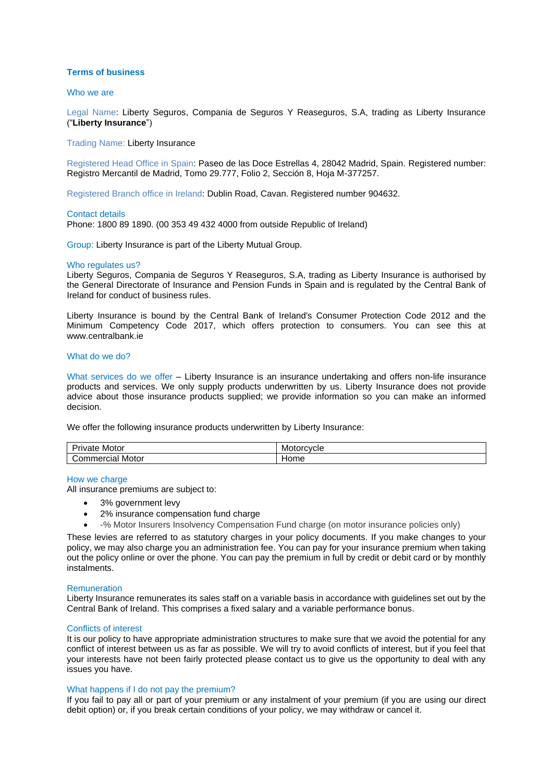# **Terms of business**

## Who we are

Legal Name: Liberty Seguros, Compania de Seguros Y Reaseguros, S.A, trading as Liberty Insurance ("**Liberty Insurance**")

Trading Name: Liberty Insurance

Registered Head Office in Spain: Paseo de las Doce Estrellas 4, 28042 Madrid, Spain. Registered number: Registro Mercantil de Madrid, Tomo 29.777, Folio 2, Sección 8, Hoja M-377257.

Registered Branch office in Ireland: Dublin Road, Cavan. Registered number 904632.

#### Contact details

Phone: 1800 89 1890. (00 353 49 432 4000 from outside Republic of Ireland)

Group: Liberty Insurance is part of the Liberty Mutual Group.

## Who regulates us?

Liberty Seguros, Compania de Seguros Y Reaseguros, S.A, trading as Liberty Insurance is authorised by the General Directorate of Insurance and Pension Funds in Spain and is regulated by the Central Bank of Ireland for conduct of business rules.

Liberty Insurance is bound by the Central Bank of Ireland's Consumer Protection Code 2012 and the Minimum Competency Code 2017, which offers protection to consumers. You can see this at [www.centralbank.ie](http://www.centralbank.ie/)

## What do we do?

What services do we offer – Liberty Insurance is an insurance undertaking and offers non-life insurance products and services. We only supply products underwritten by us. Liberty Insurance does not provide advice about those insurance products supplied; we provide information so you can make an informed decision.

We offer the following insurance products underwritten by Liberty Insurance:

| $\overline{\phantom{0}}$<br>Motor<br>ıvate | Motorcycle |
|--------------------------------------------|------------|
| Motor<br>commercial                        | Home       |

## How we charge

All insurance premiums are subject to:

- 3% government levy
- 2% insurance compensation fund charge
- -% Motor Insurers Insolvency Compensation Fund charge (on motor insurance policies only)

These levies are referred to as statutory charges in your policy documents. If you make changes to your policy, we may also charge you an administration fee. You can pay for your insurance premium when taking out the policy online or over the phone. You can pay the premium in full by credit or debit card or by monthly instalments.

#### **Remuneration**

Liberty Insurance remunerates its sales staff on a variable basis in accordance with guidelines set out by the Central Bank of Ireland. This comprises a fixed salary and a variable performance bonus.

#### Conflicts of interest

It is our policy to have appropriate administration structures to make sure that we avoid the potential for any conflict of interest between us as far as possible. We will try to avoid conflicts of interest, but if you feel that your interests have not been fairly protected please contact us to give us the opportunity to deal with any issues you have.

#### What happens if I do not pay the premium?

If you fail to pay all or part of your premium or any instalment of your premium (if you are using our direct debit option) or, if you break certain conditions of your policy, we may withdraw or cancel it.